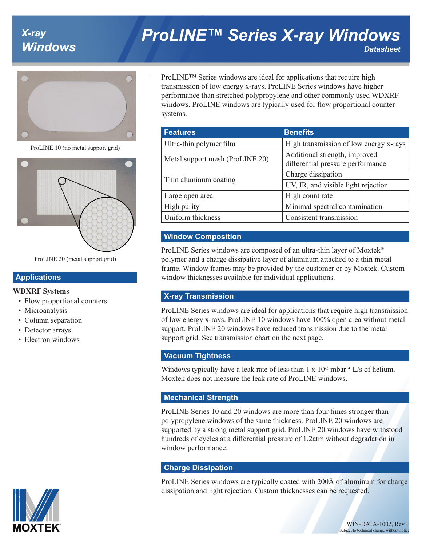# *X-ray*

# *Windows ProLINE™ Series X-ray Windows Datasheet*



ProLINE 10 (no metal support grid)



ProLINE 20 (metal support grid)

#### **Applications**

#### **WDXRF Systems**

- Flow proportional counters
- Microanalysis
- Column separation
- Detector arrays
- Electron windows



ProLINE™ Series windows are ideal for applications that require high transmission of low energy x-rays. ProLINE Series windows have higher performance than stretched polypropylene and other commonly used WDXRF windows. ProLINE windows are typically used for flow proportional counter systems.

| <b>Features</b>                 | <b>Benefits</b>                                                    |
|---------------------------------|--------------------------------------------------------------------|
| Ultra-thin polymer film         | High transmission of low energy x-rays                             |
| Metal support mesh (ProLINE 20) | Additional strength, improved<br>differential pressure performance |
| Thin aluminum coating           | Charge dissipation                                                 |
|                                 | UV, IR, and visible light rejection                                |
| Large open area                 | High count rate                                                    |
| High purity                     | Minimal spectral contamination                                     |
| Uniform thickness               | Consistent transmission                                            |

# **Window Composition**

ProLINE Series windows are composed of an ultra-thin layer of Moxtek® polymer and a charge dissipative layer of aluminum attached to a thin metal frame. Window frames may be provided by the customer or by Moxtek. Custom window thicknesses available for individual applications.

#### **X-ray Transmission**

ProLINE Series windows are ideal for applications that require high transmission of low energy x-rays. ProLINE 10 windows have 100% open area without metal support. ProLINE 20 windows have reduced transmission due to the metal support grid. See transmission chart on the next page.

#### **Vacuum Tightness**

Windows typically have a leak rate of less than  $1 \times 10^{-3}$  mbar  $\cdot$  L/s of helium. Moxtek does not measure the leak rate of ProLINE windows.

#### **Mechanical Strength**

ProLINE Series 10 and 20 windows are more than four times stronger than polypropylene windows of the same thickness. ProLINE 20 windows are supported by a strong metal support grid. ProLINE 20 windows have withstood hundreds of cycles at a differential pressure of 1.2atm without degradation in window performance.

#### **Charge Dissipation**

ProLINE Series windows are typically coated with 200Å of aluminum for charge dissipation and light rejection. Custom thicknesses can be requested.